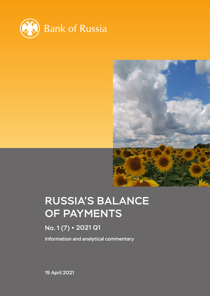



# RUSSIA'S BALANCE OF PAYMENTS

# No. 1 (7) 2021 Q1

Information and analytical commentary

15 April 2021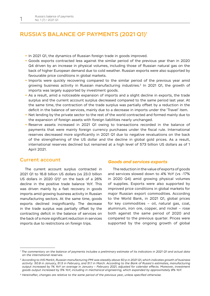# RUSSIA'S BALANCE OF PAYMENTS (2021 Q1)1

- **•** In 2021 Q1, the dynamics of Russian foreign trade in goods improved.
- **•** Goods exports contracted less against the similar period of the previous year than in 2020 Q4 driven by an increase in physical volumes, including those of Russian natural gas on the back of higher European demand due to cold weather. Russian exports were also supported by favourable price conditions in global markets.
- **•** Imports were quickly recovering compared to the similar period of the previous year amid growing business activity in Russian manufacturing industries.2 In 2021 Q1, the growth of imports was largely supported by investment goods.
- **•** As a result, amid a noticeable expansion of imports and a slight decline in exports, the trade surplus and the current account surplus decreased compared to the same period last year. At the same time, the contraction of the trade surplus was partially offset by a reduction in the deficit in the balance of services, mainly due to a decrease in imports under the 'Travel' item.
- **•** Net lending by the private sector to the rest of the world contracted and formed mainly due to the expansion of foreign assets with foreign liabilities nearly unchanged.
- **•** Reserve assets increased in 2021 Q1 owing to transactions recorded in the balance of payments that were mainly foreign currency purchases under the fiscal rule. International reserves decreased more significantly in 2021 Q1 due to negative revaluations on the back of the strengthening of the US dollar and the decline in global gold prices. As a result, international reserves declined but remained at a high level of 573 billion US dollars as of 1 April 2021.

# Current account

The current account surplus contracted in 2021 Q1 to 16.8 billion US dollars (vs 23.0 billion US dollars in 2020 Q1 $3$  on the back of a 26% decline in the positive trade balance YoY. This was driven mainly by a fast recovery in goods imports amid growing business activity in Russian manufacturing sectors. At the same time, goods exports declined insignificantly. The decrease in the trade surplus was partially offset by the contracting deficit in the balance of services on the back of a more significant reduction in services imports due to restrictions on foreign trips.

## *Goods and services exports*

The reduction in the value of exports of goods and services slowed down to 4% YoY (vs -17% in 2020 Q4) amid growing physical volumes of supplies. Exports were also supported by improved price conditions in global markets for major Russian export commodities. According to the World Bank, in 2021 Q1, global prices for key commodities – oil, natural gas, coal, aluminium, iron ore, copper, and nickel – rose both against the same period of 2020 and compared to the previous quarter. Prices were supported by the ongoing growth of global

*<sup>1</sup> The commentary on the balance of payments includes a preliminary estimate of its indicators in 2021 Q1 and actual data on the international reserves.*

*<sup>2</sup> According to IHS Markit, Russian manufacturing PMI was steadily above 50 p in 2021 Q1, which indicates growth of business activity: 50.9 in January, 51.5 in February, and 51.1 in March. According to the Bank of Russia's estimates, manufacturing output increased by 1% YoY on average in January – February 2021, adjusted for calendar effects. Moreover, investment goods output increased by 5% YoY, including in mechanical engineering, which expanded by approximately 8% YoY.*

*<sup>3</sup> Hereinafter, changes are relative to the same period of the previous year, unless specified otherwise.*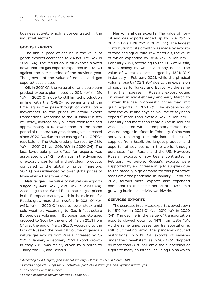business activity which is concentrated in the industrial sector.4

## **GOODS EXPORTS**

The annual pace of decline in the value of goods exports decreased to 2% (vs -17% YoY in 2020 Q4). The reduction in oil exports slowed down. Natural gas exports expanded in 2021 Q1 against the same period of the previous year. The growth of the value of non-oil and gas exports<sup>5</sup> accelerated.

**Oil.** In 2021 Q1, the value of oil and petroleum product exports plummeted by 20% YoY (-42% YoY in 2020 Q4) due to still limited production in line with the OPEC+ agreements and the time lag in the pass-through of global price movements to the prices of actual export transactions. According to the Russian Ministry of Energy, average daily oil production remained approximately 10% lower than in the same period of the previous year, although it increased since 2020 Q4 due to the easing of the OPEC+ restrictions. The Urals crude price rose by 23% YoY in 2021 Q1 (vs -29% YoY in 2020 Q4). The less favourable price effect for exports was associated with 1-2 month lags in the dynamics of export prices for oil and petroleum products compared to the global oil price. Therefore, 2021 Q1 was influenced by lower global prices of November – December 2020.

**Natural gas.** The value of natural gas exports surged by 44% YoY (-20% YoY in 2020 Q4). According to the World Bank, natural gas prices in the European market, which is the main one for Russia, grew more than twofold in 2021 Q1 YoY (+5% YoY in 2020 Q4) due to lower stock amid cold weather. According to Gas Infrastructure Europe, gas volumes in European gas storages dropped to 30% by the end of March 2021 from 54% at the end of March 2020. According to the FCS of Russia, $6$  the physical volume of gaseous natural gas exports from Russia increased by 7% YoY in January – February 2021. Export growth in early 2021 was mainly driven by supplies to Turkey, the EU, and Belarus.

**Non-oil and gas exports.** The value of nonoil and gas exports edged up by 12% YoY in 2021 Q1 (vs +8% YoY in 2020 Q4). The largest contribution to its growth was made by exports of food and agricultural raw materials, the value of which expanded by 35% YoY in January – February 2021, according to the FCS of Russia, driven mainly by wheat and soy beans. The value of wheat exports surged by 132% YoY in January – February 2021, while the physical volume rose by 102% YoY due to the expansion of supplies to Turkey and Egypt. At the same time, the increase in Russia's export duties on wheat in mid-February and early March to contain the rise in domestic prices may limit grain exports in 2021 Q1. The expansion of both the value and physical volume of soy bean exports<sup>7</sup> more than fivefold YoY in January -February and more than tenfold YoY in January was associated with a temporary factor that was no longer in effect in February. China was actively replacing the rain-induced lack of supplies from Brazil, the largest producer and exporter of soy beans in the world, through purchases from Russia and the US. However, Russian exports of soy beans contracted in February. As before, Russia's exports were supported by an increase in gold supplies due to the steadily high demand for this protective asset amid the pandemic. In January – February 2021, ferrous metal exports also expanded compared to the same period of 2020 amid growing business activity worldwide.

#### **SERVICES EXPORTS**

The decrease in services exports slowed down to 18% YoY in 2021 Q1 (vs -20% YoY in 2020 Q4). The decline in the value of transportation exports slowed down to 14% from 23% YoY. At the same time, passenger transportation is still plummeting amid the pandemic-induced restrictions. In 2021 Q1, exports of services under the 'Travel' item, as in 2020 Q4, dropped by more than 80% YoY amid the suspension of flights to many countries, including China which

*<sup>4</sup> According to JPMorgan, global manufacturing PMI rose to 55 p in March 2021.*

*<sup>5</sup> Exports of goods except for oil, petroleum products, natural gas, and liquefied natural gas.*

*<sup>6</sup> The Federal Customs Service.*

*<sup>7</sup> Foreign economic activity commodity code 1201.*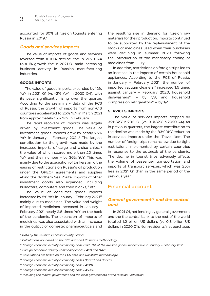accounted for 30% of foreign tourists entering Russia in 2019.8

### *Goods and services imports*

The value of imports of goods and services reversed from a 10% decline YoY in 2020 Q4 to a 1% growth YoY in 2021 Q1 amid increasing business activity in Russian manufacturing industries.

# **GOODS IMPORTS**

The value of goods imports expanded by 12% YoY in 2021 Q1 (vs -2% YoY in 2020 Q4), with its pace significantly rising over the quarter. According to the preliminary data of the FCS of Russia, the growth of imports from non-CIS countries accelerated to 25% YoY in March 2021 from approximately 15% YoY in February.

The rapid recovery of imports was largely driven by investment goods. The value of investment goods imports grew by nearly 25% YoY in January - February 2021.<sup>9</sup> The largest contribution to the growth was made by the increased imports of cargo and cruise ships,<sup>10</sup> the value of which soared more than 20 times YoY and their number – by 36% YoY. This was mainly due to the acquisition of tankers amid the easing of restrictions on Russia's oil production under the OPEC+ agreements and supplies along the Northern Sea Route. Imports of other investment goods also expanded, including bulldozers, computers and their blocks,<sup>11</sup> etc.

The value of consumer goods imports increased by 8% YoY in January - February 2021<sup>12</sup> mainly due to medicines. The value and weight of imported medicines increased in January – February 2021 nearly 2.5 times YoY on the back of the pandemic. The expansion of imports of medicines was also associated with an increase in the output of domestic pharmaceuticals and the resulting rise in demand for foreign raw materials for their production. Imports continued to be supported by the replenishment of the stocks of medicines used when their purchases were declining in summer 2020 following the introduction of the mandatory coding of medicines from 1 July.

In addition, restrictions on foreign trips led to an increase in the imports of certain household appliances. According to the FCS of Russia, in January – February 2021, the number of  $im$ ported vacuum cleaners $<sup>13</sup>$  increased 1.5 times</sup> against January – February 2020, household dishwashers<sup>14</sup> – by 1/3, and household compression refrigerators<sup>15</sup> – by  $1/4$ .

#### **SERVICES IMPORTS**

The value of services imports dropped by 32% YoY in 2021 Q1 (vs -31% YoY in 2020 Q4). As in previous quarters, the largest contribution to the decline was made by the 83% YoY reduction in services imports under the 'Travel' item. The number of foreign trips remains low due to tight restrictions implemented by certain countries in response to the outbreak of the pandemic. The decline in tourist trips adversely affects the volume of passenger transportation and imports of transport services, which was 25% less in 2021 Q1 than in the same period of the previous year.

# Financial account

# *General government16 and the central bank*

In 2021 Q1, net lending by general government and the the central bank to the rest of the world totalled 1.2 billion US dollars (vs 0.3 billion US dollars in 2020 Q1). Non-residents' net purchases

*<sup>8</sup> Data by the Russian Federal Security Service.*

*<sup>9</sup> Calculations are based on the FCS data and Rosstat's methodology.*

*<sup>10</sup> Foreign economic activity commodity code 8901. 3% of the Russian goods import value in January – February 2021.*

*<sup>11</sup> Foreign economic activity commodity codes 8429 and 8471.*

*<sup>12</sup> Calculations are based on the FCS data and Rosstat's methodology.*

*<sup>13</sup> Foreign economic activity commodity codes 850811 and 850819.*

*<sup>14</sup> Foreign economic activity commodity code 842211.*

*<sup>15</sup> Foreign economic activity commodity code 841821.*

*<sup>16</sup> Including the federal government and the local governments of the Russian Federation.*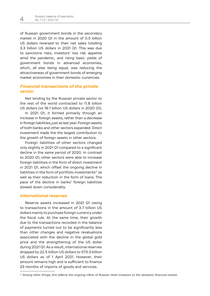of Russian government bonds in the secondary market in 2020 Q1 in the amount of 0.5 billion US dollars reversed to their net sales totalling 3.3 billion US dollars in 2021 Q1. This was due to sanctions risks, investors' low risk appetite amid the pandemic, and rising basic yields of government bonds in advanced economies, which, all else being equal, was reducing the attractiveness of government bonds of emerging market economies in their domestic currencies.

# *Financial transactions of the private sector*

Net lending by the Russian private sector to the rest of the world contracted to 11.8 billion US dollars (vs 18.1 billion US dollars in 2020 Q1).

In 2021 Q1, it formed primarily through an increase in foreign assets, rather than a decrease in foreign liabilities, just as last year. Foreign assets of both banks and other sectors expanded. Direct investment made the the largest contribution to the growth of foreign assets in other sectors.

Foreign liabilities of other sectors changed only slightly in 2021 Q1 compared to a significant decline in the same period of 2020. In contrast to 2020 Q1, other sectors were able to increase foreign liabilities in the form of direct investment in 2021 Q1, which offset the ongoing decline in liabilities in the form of portfolio investments $17$  as well as their reduction in the form of loans. The pace of the decline in banks' foreign liabilities slowed down considerably.

# *International reserves*

Reserve assets increased in 2021 Q1 owing to transactions in the amount of 3.7 billion US dollars mainly to purchase foreign currency under the fiscal rule. At the same time, their growth due to the transactions recorded in the balance of payments turned out to be significantly less than other changes and negative revaluations associated with the decline in the global gold price and the strengthening of the US dollar during 2021 Q1. As a result, international reserves dropped by 22.5 billion US dollars to 573.3 billion US dollars as of 1 April 2021. However, their amount remains high and is sufficient to finance 23 months of imports of goods and services.

*<sup>17</sup> Among other things, this reflects the ongoing inflow of Russian retail investors to the domestic financial market.*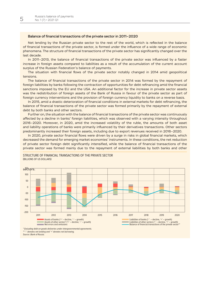#### Balance of financial transactions of the private sector in 2011–2020

Net lending by the Russian private sector to the rest of the world, which is reflected in the balance of financial transactions of the private sector, is formed under the influence of a wide range of economic phenomena. The structure of financial transactions of the private sector has significantly changed over the last decade.

In 2011–2013, the balance of financial transactions of the private sector was influenced by a faster increase in foreign assets compared to liabilities as a result of the accumulation of the current account surplus of the Russian Federation's balance of payments.

The situation with financial flows of the private sector notably changed in 2014 amid geopolitical tensions.

The balance of financial transactions of the private sector in 2014 was formed by the repayment of foreign liabilities by banks following the contraction of opportunities for debt refinancing amid the financial sanctions imposed by the EU and the USA. An additional factor for the increase in private sector assets was the redistribution of foreign assets of the Bank of Russia in favour of the private sector as part of foreign currency interventions and the provision of foreign currency liquidity to banks on a reverse basis.

In 2015, amid a drastic deterioration of financial conditions in external markets for debt refinancing, the balance of financial transactions of the private sector was formed primarily by the repayment of external debt by both banks and other sectors.

Further on, the situation with the balance of financial transactions of the private sector was continuously affected by a decline in banks' foreign liabilities, which was observed with a varying intensity throughout 2016–2020. Moreover, in 2020, amid the increased volatility of the ruble, the amounts of both asset and liability operations of banks were primarily influenced by their derivatives transactions. Other sectors predominantly increased their foreign assets, including due to export revenues received in 2016–2020.

In 2020, private sector financial flows were driven by a surge in risks in global financial markets, which decreased the demand for emerging market economies' instruments. In these conditions, the net reduction of private sector foreign debt significantly intensified, while the balance of financial transactions of the private sector was formed mainly due to the repayment of external liabilities by both banks and other

STRUCTURE OF FINANCIAL TRANSACTIONS OF THE PRIVATE SECTOR (BILLIONS OF US DOLLARS) Размер графика – **63х170**



*\* Excluding debt on goods deliveries under intergovernmental agreements. \*\* '-' denotes net lending and '+' denotes net borrowing. Source: Bank of Russia.*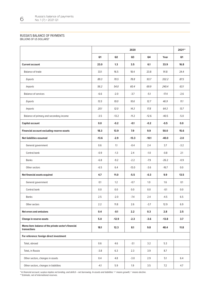#### RUSSIA'S BALANCE OF PAYMENTS

(BILLIONS OF US DOLLARS)\*

|                                                                      | 2020    |         |         |         |         | 2021**         |
|----------------------------------------------------------------------|---------|---------|---------|---------|---------|----------------|
|                                                                      | Q1      | Q2      | Q3      | Q4      | Year    | Q <sub>1</sub> |
| <b>Current account</b>                                               | 23.0    | 1.3     | 3.5     | 6.1     | 33.9    | 16.8           |
| <b>Balance of trade</b>                                              | 33.1    | 16.5    | 18.4    | 23.8    | 91.8    | 24.4           |
| Exports                                                              | 89.3    | 70.5    | 78.8    | 93.7    | 332.2   | 87.5           |
| <i>Imports</i>                                                       | 56.2    | 54.0    | 60.4    | 69.9    | 240.4   | 63.1           |
| <b>Balance of services</b>                                           | $-6.6$  | $-2.0$  | $-3.7$  | $-5.1$  | $-17.4$ | $-2.6$         |
| Exports                                                              | 13.5    | 10.0    | 10.6    | 12.7    | 46.9    | 11.1           |
| <b>Imports</b>                                                       | 20.1    | 12.0    | 14.3    | 17.8    | 64.3    | 13.7           |
| Balance of primary and secondary income                              | $-3.5$  | $-13.2$ | $-11.2$ | $-12.6$ | $-40.5$ | $-5.0$         |
| Capital account                                                      | 0.0     | $-0.2$  | $-0.1$  | $-0.2$  | $-0.5$  | $0.0\,$        |
| Financial account excluding reserve assets                           | 18.3    | 13.9    | 7.9     | 9.9     | 50.0    | 15.6           |
| Net liabilities assumed                                              | $-13.6$ | $-2.9$  | $-13.3$ | $-10.1$ | $-40.0$ | $-2.0$         |
| General government                                                   | 0.6     | 1.1     | $-0.4$  | 2.4     | 3.7     | $-3.2$         |
| Central bank                                                         | $-0.9$  | $-1.3$  | 2.4     | $-1.0$  | $-0.8$  | 2.1            |
| <b>Banks</b>                                                         | $-6.8$  | $-9.2$  | $-2.2$  | $-7.9$  | $-26.2$ | $-0.9$         |
| Other sectors                                                        | $-6.5$  | 6.4     | $-13.0$ | $-3.6$  | $-16.7$ | 0.0            |
| Net financial assets acquired                                        | 4.7     | 11.0    | $-5.5$  | $-0.3$  | 9.9     | 13.5           |
| General government                                                   | 0.1     | 1.2     | $-0.7$  | 1.0     | 1.6     | $0.1\,$        |
| Central bank                                                         | 0.0     | 0.0     | 0.0     | 0.0     | $-0.1$  | 0.0            |
| <b>Banks</b>                                                         | 2.5     | $-2.0$  | $-7.4$  | 2.4     | $-4.5$  | 6.5            |
| Other sectors                                                        | 2.2     | $11.8$  | $2.6\,$ | $-3.7$  | 12.9    | $6.9\,$        |
| Net errors and omissions                                             | 0.4     | $-0.1$  | 2.2     | 0.3     | 2.8     | 2.5            |
| Change in reserve assets                                             | 5.0     | $-12.9$ | $-2.3$  | $-3.6$  | $-13.8$ | 3.7            |
| Memo item: balance of the private sector's financial<br>transactions | 18.1    | 12.3    | 8.1     | 9.8     | 48.4    | 11.8           |
| For reference: foreign direct investment                             |         |         |         |         |         |                |
| Total, abroad                                                        | 0.6     | 4.6     | $-3.1$  | 3.2     | 5.3     |                |
| Total, in Russia                                                     | $-3.8$  | 6.3     | 2.3     | 3.9     | 8.7     |                |
| Other sectors, changes in assets                                     | 0.4     | 4.8     | $-3.0$  | 2.9     | 5.1     | 6.4            |
| Other sectors, changes in liabilities                                | $-4.1$  | 5.9     | 1.9     | 3.5     | 7.2     | 4.7            |

\* In financial account, surplus implies net lending, and deficit – net borrowing. In assets and liabilities '+' means growth,'-' means decline. \*\* Estimate, net of international reserves.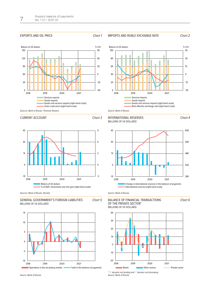#### EXPORTS AND OIL PRICE **Chart 1**



#### IMPORTS AND RUBLE EXCHANGE RATE Chart *2*



Chart *4*

Chart *6*





Sources: Bank of Russia, Thomson Reuters.

#### CURRENT ACCOUNT CHART **3**



Sources: Bank of Russia, Rosstat.







# INTERNATIONAL RESERVES (BILLIONS OF US DOLLARS) Размер графика – **63х82**



*Source: Bank of Russia.*

# BALANCE OF FINANCIAL TRANSACTIONS OF THE PRIVATE SECTOR\*



*\* '+' denotes net lending and '-' denotes net borrowing. Source: Bank of Russia.*